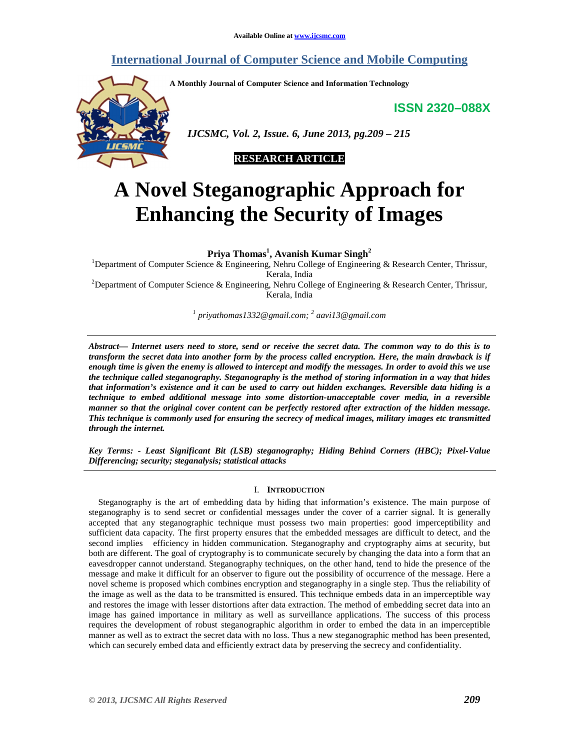# **International Journal of Computer Science and Mobile Computing**

**A Monthly Journal of Computer Science and Information Technology** 

**ISSN 2320–088X**



 *IJCSMC, Vol. 2, Issue. 6, June 2013, pg.209 – 215* 



# **A Novel Steganographic Approach for Enhancing the Security of Images**

**Priya Thomas<sup>1</sup> , Avanish Kumar Singh<sup>2</sup>**

<sup>1</sup>Department of Computer Science & Engineering, Nehru College of Engineering & Research Center, Thrissur, Kerala, India <sup>2</sup>Department of Computer Science & Engineering, Nehru College of Engineering & Research Center, Thrissur,

Kerala, India

*1 priyathomas1332@gmail.com; <sup>2</sup> aavi13@gmail.com* 

*Abstract— Internet users need to store, send or receive the secret data. The common way to do this is to transform the secret data into another form by the process called encryption. Here, the main drawback is if enough time is given the enemy is allowed to intercept and modify the messages. In order to avoid this we use the technique called steganography. Steganography is the method of storing information in a way that hides that information's existence and it can be used to carry out hidden exchanges. Reversible data hiding is a technique to embed additional message into some distortion-unacceptable cover media, in a reversible manner so that the original cover content can be perfectly restored after extraction of the hidden message. This technique is commonly used for ensuring the secrecy of medical images, military images etc transmitted through the internet.* 

*Key Terms: - Least Significant Bit (LSB) steganography; Hiding Behind Corners (HBC); Pixel-Value Differencing; security; steganalysis; statistical attacks* 

# I. **INTRODUCTION**

Steganography is the art of embedding data by hiding that information's existence. The main purpose of steganography is to send secret or confidential messages under the cover of a carrier signal. It is generally accepted that any steganographic technique must possess two main properties: good imperceptibility and sufficient data capacity. The first property ensures that the embedded messages are difficult to detect, and the second implies efficiency in hidden communication. Steganography and cryptography aims at security, but both are different. The goal of cryptography is to communicate securely by changing the data into a form that an eavesdropper cannot understand. Steganography techniques, on the other hand, tend to hide the presence of the message and make it difficult for an observer to figure out the possibility of occurrence of the message. Here a novel scheme is proposed which combines encryption and steganography in a single step. Thus the reliability of the image as well as the data to be transmitted is ensured. This technique embeds data in an imperceptible way and restores the image with lesser distortions after data extraction. The method of embedding secret data into an image has gained importance in military as well as surveillance applications. The success of this process requires the development of robust steganographic algorithm in order to embed the data in an imperceptible manner as well as to extract the secret data with no loss. Thus a new steganographic method has been presented, which can securely embed data and efficiently extract data by preserving the secrecy and confidentiality.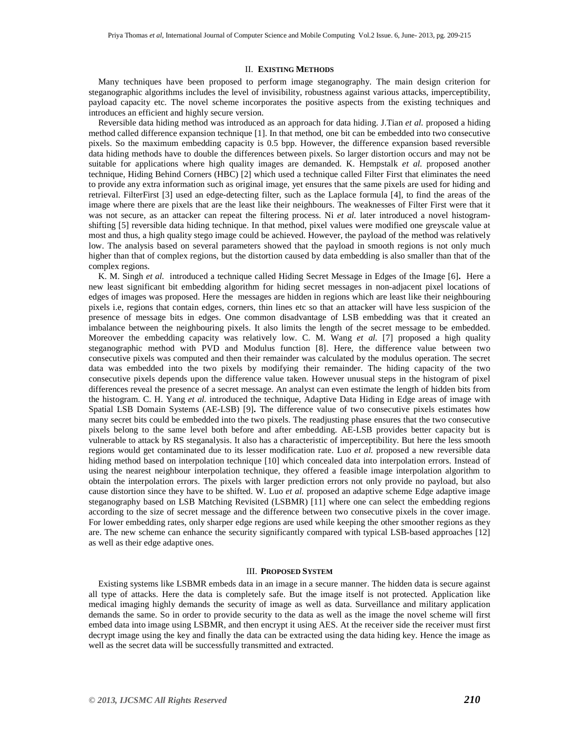#### II. **EXISTING METHODS**

Many techniques have been proposed to perform image steganography. The main design criterion for steganographic algorithms includes the level of invisibility, robustness against various attacks, imperceptibility, payload capacity etc. The novel scheme incorporates the positive aspects from the existing techniques and introduces an efficient and highly secure version.

Reversible data hiding method was introduced as an approach for data hiding. J.Tian *et al.* proposed a hiding method called difference expansion technique [1]. In that method, one bit can be embedded into two consecutive pixels. So the maximum embedding capacity is 0.5 bpp. However, the difference expansion based reversible data hiding methods have to double the differences between pixels. So larger distortion occurs and may not be suitable for applications where high quality images are demanded. K. Hempstalk *et al.* proposed another technique, Hiding Behind Corners (HBC) [2] which used a technique called Filter First that eliminates the need to provide any extra information such as original image, yet ensures that the same pixels are used for hiding and retrieval. FilterFirst [3] used an edge-detecting filter, such as the Laplace formula [4], to find the areas of the image where there are pixels that are the least like their neighbours. The weaknesses of Filter First were that it was not secure, as an attacker can repeat the filtering process. Ni *et al.* later introduced a novel histogramshifting [5] reversible data hiding technique. In that method, pixel values were modified one greyscale value at most and thus, a high quality stego image could be achieved. However, the payload of the method was relatively low. The analysis based on several parameters showed that the payload in smooth regions is not only much higher than that of complex regions, but the distortion caused by data embedding is also smaller than that of the complex regions.

K. M. Singh *et al.* introduced a technique called Hiding Secret Message in Edges of the Image [6]**.** Here a new least significant bit embedding algorithm for hiding secret messages in non-adjacent pixel locations of edges of images was proposed. Here the messages are hidden in regions which are least like their neighbouring pixels i.e, regions that contain edges, corners, thin lines etc so that an attacker will have less suspicion of the presence of message bits in edges. One common disadvantage of LSB embedding was that it created an imbalance between the neighbouring pixels. It also limits the length of the secret message to be embedded. Moreover the embedding capacity was relatively low. C. M. Wang *et al.* [7] proposed a high quality steganographic method with PVD and Modulus function [8]. Here, the difference value between two consecutive pixels was computed and then their remainder was calculated by the modulus operation. The secret data was embedded into the two pixels by modifying their remainder. The hiding capacity of the two consecutive pixels depends upon the difference value taken. However unusual steps in the histogram of pixel differences reveal the presence of a secret message. An analyst can even estimate the length of hidden bits from the histogram. C. H. Yang *et al.* introduced the technique, Adaptive Data Hiding in Edge areas of image with Spatial LSB Domain Systems (AE-LSB) [9]**.** The difference value of two consecutive pixels estimates how many secret bits could be embedded into the two pixels. The readjusting phase ensures that the two consecutive pixels belong to the same level both before and after embedding. AE-LSB provides better capacity but is vulnerable to attack by RS steganalysis. It also has a characteristic of imperceptibility. But here the less smooth regions would get contaminated due to its lesser modification rate. Luo *et al.* proposed a new reversible data hiding method based on interpolation technique [10] which concealed data into interpolation errors. Instead of using the nearest neighbour interpolation technique, they offered a feasible image interpolation algorithm to obtain the interpolation errors. The pixels with larger prediction errors not only provide no payload, but also cause distortion since they have to be shifted. W. Luo *et al.* proposed an adaptive scheme Edge adaptive image steganography based on LSB Matching Revisited (LSBMR) [11] where one can select the embedding regions according to the size of secret message and the difference between two consecutive pixels in the cover image. For lower embedding rates, only sharper edge regions are used while keeping the other smoother regions as they are. The new scheme can enhance the security significantly compared with typical LSB-based approaches [12] as well as their edge adaptive ones.

### III. **PROPOSED SYSTEM**

Existing systems like LSBMR embeds data in an image in a secure manner. The hidden data is secure against all type of attacks. Here the data is completely safe. But the image itself is not protected. Application like medical imaging highly demands the security of image as well as data. Surveillance and military application demands the same. So in order to provide security to the data as well as the image the novel scheme will first embed data into image using LSBMR, and then encrypt it using AES. At the receiver side the receiver must first decrypt image using the key and finally the data can be extracted using the data hiding key. Hence the image as well as the secret data will be successfully transmitted and extracted.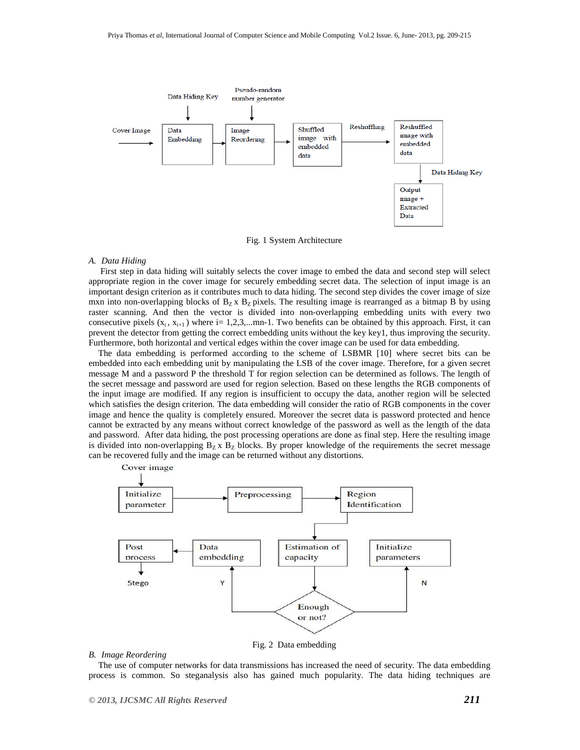



#### *A. Data Hiding*

 First step in data hiding will suitably selects the cover image to embed the data and second step will select appropriate region in the cover image for securely embedding secret data. The selection of input image is an important design criterion as it contributes much to data hiding. The second step divides the cover image of size mxn into non-overlapping blocks of  $B_Z x B_Z$  pixels. The resulting image is rearranged as a bitmap B by using raster scanning. And then the vector is divided into non-overlapping embedding units with every two consecutive pixels  $(x_i, x_{i+1})$  where i= 1,2,3,...mn-1. Two benefits can be obtained by this approach. First, it can prevent the detector from getting the correct embedding units without the key key1, thus improving the security. Furthermore, both horizontal and vertical edges within the cover image can be used for data embedding.

The data embedding is performed according to the scheme of LSBMR [10] where secret bits can be embedded into each embedding unit by manipulating the LSB of the cover image. Therefore, for a given secret message M and a password P the threshold T for region selection can be determined as follows. The length of the secret message and password are used for region selection. Based on these lengths the RGB components of the input image are modified. If any region is insufficient to occupy the data, another region will be selected which satisfies the design criterion. The data embedding will consider the ratio of RGB components in the cover image and hence the quality is completely ensured. Moreover the secret data is password protected and hence cannot be extracted by any means without correct knowledge of the password as well as the length of the data and password. After data hiding, the post processing operations are done as final step. Here the resulting image is divided into non-overlapping  $B_Z x B_Z$  blocks. By proper knowledge of the requirements the secret message can be recovered fully and the image can be returned without any distortions.



Fig. 2 Data embedding

#### *B. Image Reordering*

The use of computer networks for data transmissions has increased the need of security. The data embedding process is common. So steganalysis also has gained much popularity. The data hiding techniques are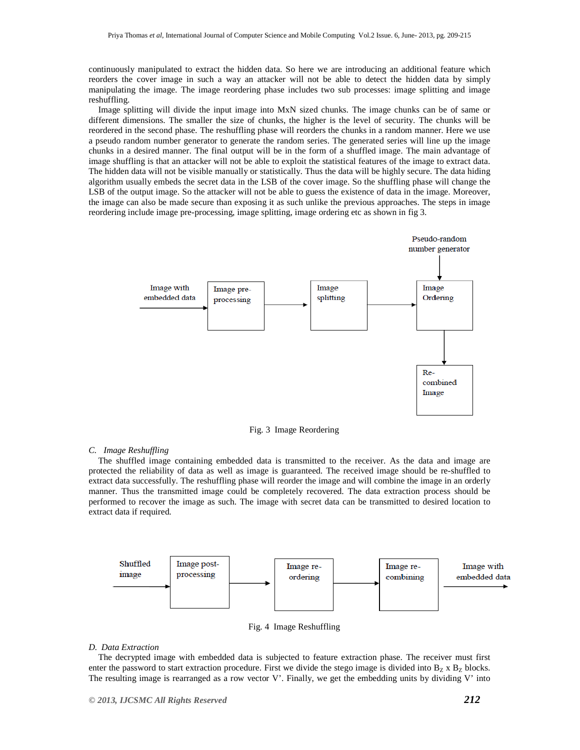continuously manipulated to extract the hidden data. So here we are introducing an additional feature which reorders the cover image in such a way an attacker will not be able to detect the hidden data by simply manipulating the image. The image reordering phase includes two sub processes: image splitting and image reshuffling.

Image splitting will divide the input image into MxN sized chunks. The image chunks can be of same or different dimensions. The smaller the size of chunks, the higher is the level of security. The chunks will be reordered in the second phase. The reshuffling phase will reorders the chunks in a random manner. Here we use a pseudo random number generator to generate the random series. The generated series will line up the image chunks in a desired manner. The final output will be in the form of a shuffled image. The main advantage of image shuffling is that an attacker will not be able to exploit the statistical features of the image to extract data. The hidden data will not be visible manually or statistically. Thus the data will be highly secure. The data hiding algorithm usually embeds the secret data in the LSB of the cover image. So the shuffling phase will change the LSB of the output image. So the attacker will not be able to guess the existence of data in the image. Moreover, the image can also be made secure than exposing it as such unlike the previous approaches. The steps in image reordering include image pre-processing, image splitting, image ordering etc as shown in fig 3.



Fig. 3 Image Reordering

#### *C. Image Reshuffling*

The shuffled image containing embedded data is transmitted to the receiver. As the data and image are protected the reliability of data as well as image is guaranteed. The received image should be re-shuffled to extract data successfully. The reshuffling phase will reorder the image and will combine the image in an orderly manner. Thus the transmitted image could be completely recovered. The data extraction process should be performed to recover the image as such. The image with secret data can be transmitted to desired location to extract data if required*.* 



Fig. 4 Image Reshuffling

## *D. Data Extraction*

The decrypted image with embedded data is subjected to feature extraction phase. The receiver must first enter the password to start extraction procedure. First we divide the stego image is divided into  $B_Z$  x  $B_Z$  blocks. The resulting image is rearranged as a row vector V'. Finally, we get the embedding units by dividing V' into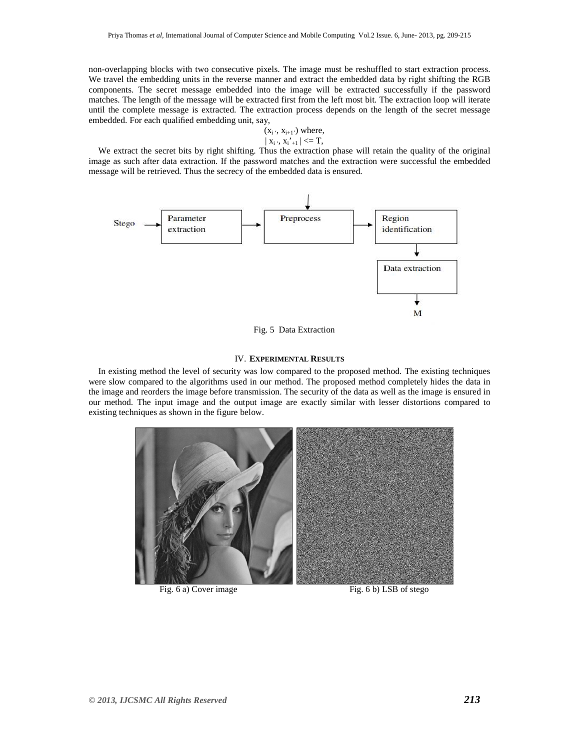non-overlapping blocks with two consecutive pixels. The image must be reshuffled to start extraction process. We travel the embedding units in the reverse manner and extract the embedded data by right shifting the RGB components. The secret message embedded into the image will be extracted successfully if the password matches. The length of the message will be extracted first from the left most bit. The extraction loop will iterate until the complete message is extracted. The extraction process depends on the length of the secret message embedded. For each qualified embedding unit, say,

$$
\begin{array}{c} (x_i \cdot, x_{i+1}) \text{ where, }\\ \mid x_i \cdot, x_{i+1} \mid \leq= T, \end{array}
$$

We extract the secret bits by right shifting. Thus the extraction phase will retain the quality of the original image as such after data extraction. If the password matches and the extraction were successful the embedded message will be retrieved. Thus the secrecy of the embedded data is ensured.

![](_page_4_Figure_4.jpeg)

Fig. 5 Data Extraction

# IV. **EXPERIMENTAL RESULTS**

In existing method the level of security was low compared to the proposed method. The existing techniques were slow compared to the algorithms used in our method. The proposed method completely hides the data in the image and reorders the image before transmission. The security of the data as well as the image is ensured in our method. The input image and the output image are exactly similar with lesser distortions compared to existing techniques as shown in the figure below.

![](_page_4_Picture_8.jpeg)

Fig. 6 a) Cover image Fig. 6 b) LSB of stego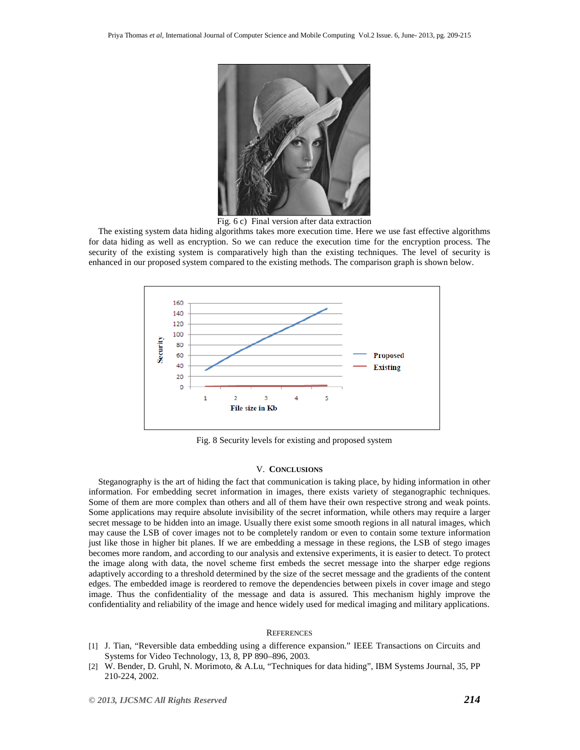![](_page_5_Picture_1.jpeg)

Fig. 6 c) Final version after data extraction

The existing system data hiding algorithms takes more execution time. Here we use fast effective algorithms for data hiding as well as encryption. So we can reduce the execution time for the encryption process. The security of the existing system is comparatively high than the existing techniques. The level of security is enhanced in our proposed system compared to the existing methods. The comparison graph is shown below.

![](_page_5_Figure_4.jpeg)

Fig. 8 Security levels for existing and proposed system

# V. **CONCLUSIONS**

Steganography is the art of hiding the fact that communication is taking place, by hiding information in other information. For embedding secret information in images, there exists variety of steganographic techniques. Some of them are more complex than others and all of them have their own respective strong and weak points. Some applications may require absolute invisibility of the secret information, while others may require a larger secret message to be hidden into an image. Usually there exist some smooth regions in all natural images, which may cause the LSB of cover images not to be completely random or even to contain some texture information just like those in higher bit planes. If we are embedding a message in these regions, the LSB of stego images becomes more random, and according to our analysis and extensive experiments, it is easier to detect. To protect the image along with data, the novel scheme first embeds the secret message into the sharper edge regions adaptively according to a threshold determined by the size of the secret message and the gradients of the content edges. The embedded image is reordered to remove the dependencies between pixels in cover image and stego image. Thus the confidentiality of the message and data is assured. This mechanism highly improve the confidentiality and reliability of the image and hence widely used for medical imaging and military applications.

#### **REFERENCES**

- [1] J. Tian, "Reversible data embedding using a difference expansion." IEEE Transactions on Circuits and Systems for Video Technology, 13, 8, PP 890–896, 2003.
- [2] W. Bender, D. Gruhl, N. Morimoto, & A.Lu, "Techniques for data hiding", IBM Systems Journal, 35, PP 210-224, 2002.